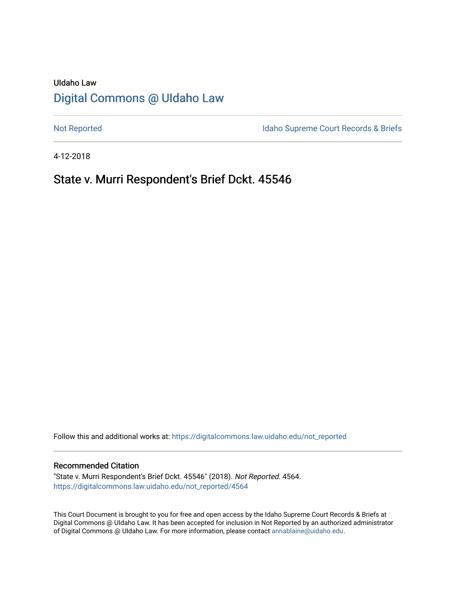# UIdaho Law [Digital Commons @ UIdaho Law](https://digitalcommons.law.uidaho.edu/)

[Not Reported](https://digitalcommons.law.uidaho.edu/not_reported) **Idaho Supreme Court Records & Briefs** 

4-12-2018

## State v. Murri Respondent's Brief Dckt. 45546

Follow this and additional works at: [https://digitalcommons.law.uidaho.edu/not\\_reported](https://digitalcommons.law.uidaho.edu/not_reported?utm_source=digitalcommons.law.uidaho.edu%2Fnot_reported%2F4564&utm_medium=PDF&utm_campaign=PDFCoverPages) 

#### Recommended Citation

"State v. Murri Respondent's Brief Dckt. 45546" (2018). Not Reported. 4564. [https://digitalcommons.law.uidaho.edu/not\\_reported/4564](https://digitalcommons.law.uidaho.edu/not_reported/4564?utm_source=digitalcommons.law.uidaho.edu%2Fnot_reported%2F4564&utm_medium=PDF&utm_campaign=PDFCoverPages)

This Court Document is brought to you for free and open access by the Idaho Supreme Court Records & Briefs at Digital Commons @ UIdaho Law. It has been accepted for inclusion in Not Reported by an authorized administrator of Digital Commons @ UIdaho Law. For more information, please contact [annablaine@uidaho.edu](mailto:annablaine@uidaho.edu).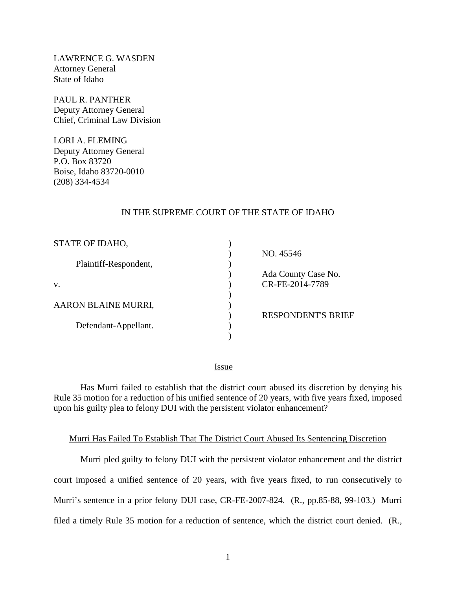LAWRENCE G. WASDEN Attorney General State of Idaho

PAUL R. PANTHER Deputy Attorney General Chief, Criminal Law Division

LORI A. FLEMING Deputy Attorney General P.O. Box 83720 Boise, Idaho 83720-0010 (208) 334-4534

#### IN THE SUPREME COURT OF THE STATE OF IDAHO

| STATE OF IDAHO,       |  |
|-----------------------|--|
| Plaintiff-Respondent, |  |
| V.                    |  |
| AARON BLAINE MURRI,   |  |
| Defendant-Appellant.  |  |
|                       |  |

NO. 45546

 Ada County Case No. CR-FE-2014-7789

RESPONDENT'S BRIEF

<u>Issue</u>

) )

Has Murri failed to establish that the district court abused its discretion by denying his Rule 35 motion for a reduction of his unified sentence of 20 years, with five years fixed, imposed upon his guilty plea to felony DUI with the persistent violator enhancement?

#### Murri Has Failed To Establish That The District Court Abused Its Sentencing Discretion

Murri pled guilty to felony DUI with the persistent violator enhancement and the district court imposed a unified sentence of 20 years, with five years fixed, to run consecutively to Murri's sentence in a prior felony DUI case, CR-FE-2007-824. (R., pp.85-88, 99-103.) Murri filed a timely Rule 35 motion for a reduction of sentence, which the district court denied. (R.,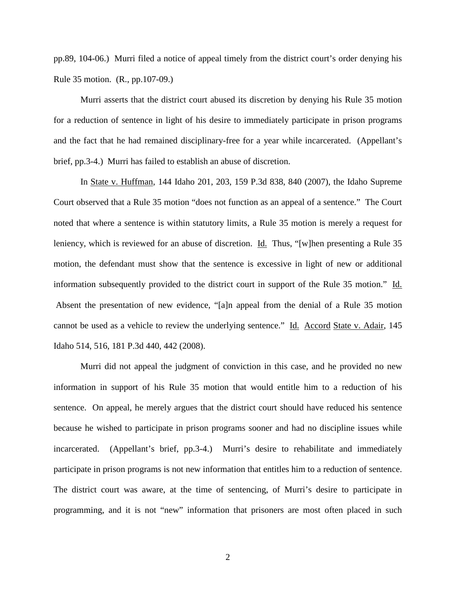pp.89, 104-06.) Murri filed a notice of appeal timely from the district court's order denying his Rule 35 motion. (R., pp.107-09.)

Murri asserts that the district court abused its discretion by denying his Rule 35 motion for a reduction of sentence in light of his desire to immediately participate in prison programs and the fact that he had remained disciplinary-free for a year while incarcerated. (Appellant's brief, pp.3-4.) Murri has failed to establish an abuse of discretion.

In State v. Huffman, 144 Idaho 201, 203, 159 P.3d 838, 840 (2007), the Idaho Supreme Court observed that a Rule 35 motion "does not function as an appeal of a sentence." The Court noted that where a sentence is within statutory limits, a Rule 35 motion is merely a request for leniency, which is reviewed for an abuse of discretion. Id. Thus, "[w]hen presenting a Rule 35 motion, the defendant must show that the sentence is excessive in light of new or additional information subsequently provided to the district court in support of the Rule 35 motion." Id. Absent the presentation of new evidence, "[a]n appeal from the denial of a Rule 35 motion cannot be used as a vehicle to review the underlying sentence." Id. Accord State v. Adair, 145 Idaho 514, 516, 181 P.3d 440, 442 (2008).

Murri did not appeal the judgment of conviction in this case, and he provided no new information in support of his Rule 35 motion that would entitle him to a reduction of his sentence. On appeal, he merely argues that the district court should have reduced his sentence because he wished to participate in prison programs sooner and had no discipline issues while incarcerated. (Appellant's brief, pp.3-4.) Murri's desire to rehabilitate and immediately participate in prison programs is not new information that entitles him to a reduction of sentence. The district court was aware, at the time of sentencing, of Murri's desire to participate in programming, and it is not "new" information that prisoners are most often placed in such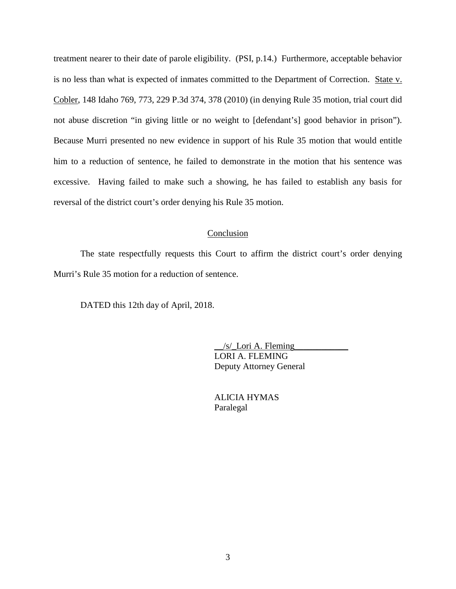treatment nearer to their date of parole eligibility. (PSI, p.14.) Furthermore, acceptable behavior is no less than what is expected of inmates committed to the Department of Correction. State v. Cobler, 148 Idaho 769, 773, 229 P.3d 374, 378 (2010) (in denying Rule 35 motion, trial court did not abuse discretion "in giving little or no weight to [defendant's] good behavior in prison"). Because Murri presented no new evidence in support of his Rule 35 motion that would entitle him to a reduction of sentence, he failed to demonstrate in the motion that his sentence was excessive. Having failed to make such a showing, he has failed to establish any basis for reversal of the district court's order denying his Rule 35 motion.

#### Conclusion

The state respectfully requests this Court to affirm the district court's order denying Murri's Rule 35 motion for a reduction of sentence.

DATED this 12th day of April, 2018.

 $/s$  Lori A. Fleming LORI A. FLEMING Deputy Attorney General

 ALICIA HYMAS Paralegal